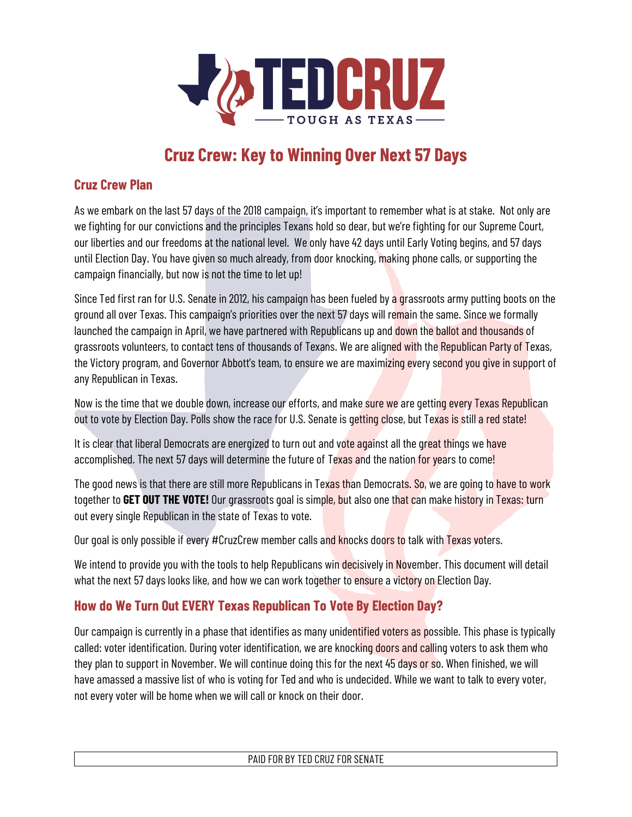

# **Cruz Crew: Key to Winning Over Next 57 Days**

### **Cruz Crew Plan**

As we embark on the last 57 days of the 2018 campaign, it's important to remember what is at stake. Not only are we fighting for our convictions and the principles Texans hold so dear, but we're fighting for our Supreme Court, our liberties and our freedoms at the national level. We only have 42 days until Early Voting begins, and 57 days until Election Day. You have given so much already, from door knocking, making phone calls, or supporting the campaign financially, but now is not the time to let up!

Since Ted first ran for U.S. Senate in 2012, his campaign has been fueled by a grassroots army putting boots on the ground all over Texas. This campaign's priorities over the next 57 days will remain the same. Since we formally launched the campaign in April, we have partnered with Republicans up and down the ballot and thousands of grassroots volunteers, to contact tens of thousands of Texans. We are aligned with the Republican Party of Texas, the Victory program, and Governor Abbott's team, to ensure we are maximizing every second you give in support of any Republican in Texas.

Now is the time that we double down, increase our efforts, and make sure we are getting every Texas Republican out to vote by Election Day. Polls show the race for U.S. Senate is getting close, but Texas is still a red state!

It is clear that liberal Democrats are energized to turn out and vote against all the great things we have accomplished. The next 57 days will determine the future of Texas and the nation for years to come!

The good news is that there are still more Republicans in Texas than Democrats. So, we are going to have to work together to **GET OUT THE VOTE!** Our grassroots goal is simple, but also one that can make history in Texas: turn out every single Republican in the state of Texas to vote.

Our goal is only possible if every #CruzCrew member calls and knocks doors to talk with Texas voters.

We intend to provide you with the tools to help Republicans win decisively in November. This document will detail what the next 57 days looks like, and how we can work together to ensure a victory on Election Day.

# **How do We Turn Out EVERY Texas Republican To Vote By Election Day?**

Our campaign is currently in a phase that identifies as many unidentified voters as possible. This phase is typically called: voter identification. During voter identification, we are knocking doors and calling voters to ask them who they plan to support in November. We will continue doing this for the next 45 days or so. When finished, we will have amassed a massive list of who is voting for Ted and who is undecided. While we want to talk to every voter, not every voter will be home when we will call or knock on their door.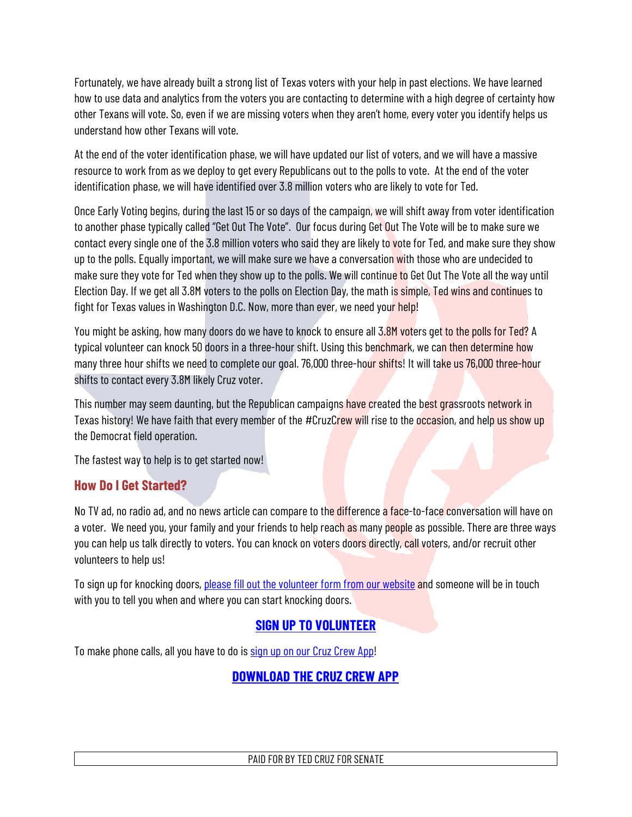Fortunately, we have already built a strong list of Texas voters with your help in past elections. We have learned how to use data and analytics from the voters you are contacting to determine with a high degree of certainty how other Texans will vote. So, even if we are missing voters when they aren't home, every voter you identify helps us understand how other Texans will vote.

At the end of the voter identification phase, we will have updated our list of voters, and we will have a massive resource to work from as we deploy to get every Republicans out to the polls to vote. At the end of the voter identification phase, we will have identified over 3.8 million voters who are likely to vote for Ted.

Once Early Voting begins, during the last 15 or so days of the campaign, we will shift away from voter identification to another phase typically called "Get Out The Vote". Our focus during Get Out The Vote will be to make sure we contact every single one of the 3.8 million voters who said they are likely to vote for Ted, and make sure they show up to the polls. Equally important, we will make sure we have a conversation with those who are undecided to make sure they vote for Ted when they show up to the polls. We will continue to Get Out The Vote all the way until Election Day. If we get all 3.8M voters to the polls on Election Day, the math is simple, Ted wins and continues to fight for Texas values in Washington D.C. Now, more than ever, we need your help!

You might be asking, how many doors do we have to knock to ensure all 3.8M voters get to the polls for Ted? A typical volunteer can knock 50 doors in a three-hour shift. Using this benchmark, we can then determine how many three hour shifts we need to complete our goal. 76,000 three-hour shifts! It will take us 76,000 three-hour shifts to contact every 3.8M likely Cruz voter.

This number may seem daunting, but the Republican campaigns have created the best grassroots network in Texas history! We have faith that every member of the #CruzCrew will rise to the occasion, and help us show up the Democrat field operation.

The fastest way to help is to get started now!

#### **How Do I Get Started?**

No TV ad, no radio ad, and no news article can compare to the difference a face-to-face conversation will have on a voter. We need you, your family and your friends to help reach as many people as possible. There are three ways you can help us talk directly to voters. You can knock on voters doors directly, call voters, and/or recruit other volunteers to help us!

To sign up for knocking doors, please fill out the volunteer form from our website and someone will be in touch with you to tell you when and where you can start knocking doors.

# **SIGN UP TO VOLUNTEER**

To make phone calls, all you have to do is sign up on our Cruz Crew App!

## **DOWNLOAD THE CRUZ CREW APP**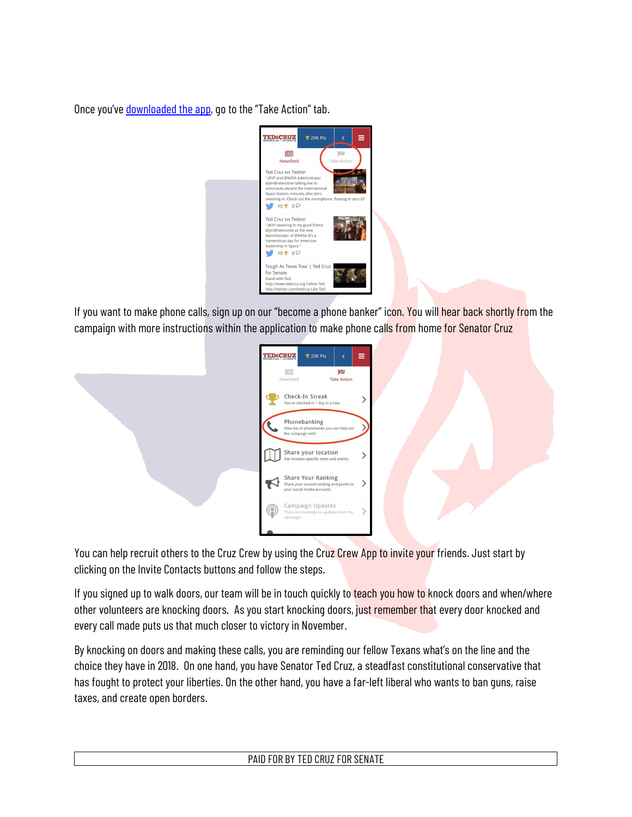Once you've downloaded the app, go to the "Take Action" tab.



If you want to make phone calls, sign up on our "become a phone banker" icon. You will hear back shortly from the campaign with more instructions within the application to make phone calls from home for Senator Cruz

|                                                                                               | <b>学 20K Pts</b> | ₹                        | ≡ |
|-----------------------------------------------------------------------------------------------|------------------|--------------------------|---|
| 恒目<br>Newsfeed                                                                                |                  | re<br><b>Take Action</b> |   |
| Check-In Streak<br>You've checked in 1 day in a row.                                          |                  |                          |   |
| Phonebanking<br>View list of phonebanks you can help out<br>the campaign with.                |                  |                          |   |
| Share your location<br>See location-specific news and events.                                 |                  |                          |   |
| Share Your Ranking<br>Share your current ranking and points to<br>your social media accounts. |                  |                          |   |
| Campaign Updates<br>There are currently no updates from the<br>campaign.                      |                  |                          |   |
|                                                                                               |                  |                          |   |

You can help recruit others to the Cruz Crew by using the Cruz Crew App to invite your friends. Just start by clicking on the Invite Contacts buttons and follow the steps.

If you signed up to walk doors, our team will be in touch quickly to teach you how to knock doors and when/where other volunteers are knocking doors. As you start knocking doors, just remember that every door knocked and every call made puts us that much closer to victory in November.

By knocking on doors and making these calls, you are reminding our fellow Texans what's on the line and the choice they have in 2018. On one hand, you have Senator Ted Cruz, a steadfast constitutional conservative that has fought to protect your liberties. On the other hand, you have a far-left liberal who wants to ban guns, raise taxes, and create open borders.